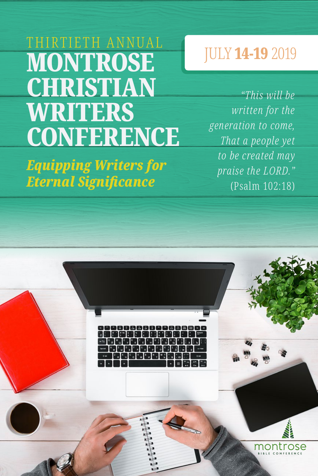# THIRTIETH ANNUAL **MONTROSE CHRISTIAN** WRITERS **CONFERENCE**

*Equipping Writers for Eternal Significance*

# JULY 14-19 2019

*"This will be written for the generation to come, That a people yet to be created may praise the LORD."* (Psalm 102:18)

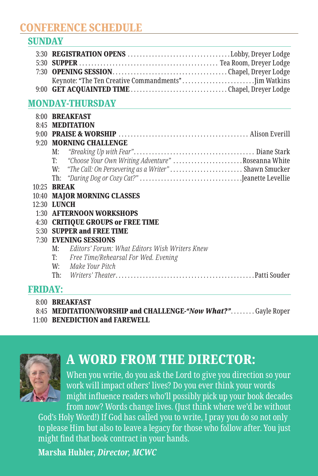#### CONFERENCE SCHEDULE

#### SUNDAY

#### MONDAY-THURSDAY

|                    |                        | 8:00 BREAKFAST                                          |  |  |
|--------------------|------------------------|---------------------------------------------------------|--|--|
|                    |                        | 8:45 MEDITATION                                         |  |  |
|                    |                        |                                                         |  |  |
|                    | 9:20 MORNING CHALLENGE |                                                         |  |  |
|                    | M:                     |                                                         |  |  |
|                    |                        | T: "Choose Your Own Writing Adventure" Roseanna White   |  |  |
|                    |                        | W: "The Call: On Persevering as a Writer" Shawn Smucker |  |  |
|                    |                        |                                                         |  |  |
|                    | 10:25 <b>BREAK</b>     |                                                         |  |  |
|                    |                        | 10:40 MAJOR MORNING CLASSES                             |  |  |
| 12:30 <b>LUNCH</b> |                        |                                                         |  |  |
|                    |                        | 1:30 AFTERNOON WORKSHOPS                                |  |  |
|                    |                        | 4:30 CRITIQUE GROUPS or FREE TIME                       |  |  |
|                    |                        | 5:30 SUPPER and FREE TIME                               |  |  |
|                    |                        | 7:30 EVENING SESSIONS                                   |  |  |
|                    | M:                     | Editors' Forum: What Editors Wish Writers Knew          |  |  |
|                    | T:                     | Free Time/Rehearsal For Wed. Evening                    |  |  |
|                    |                        | W: Make Your Pitch                                      |  |  |
|                    |                        |                                                         |  |  |

#### FRIDAY:

- 8:00 BREAKFAST
- 8:45 MEDITATION/WORSHIP and CHALLENGE-"Now What?"........Gayle Roper
- 11:00 BENEDICTION and FAREWELL



# A WORD FROM THE DIRECTOR:

When you write, do you ask the Lord to give you direction so your work will impact others' lives? Do you ever think your words might influence readers who'll possibly pick up your book decades from now? Words change lives. (Just think where we'd be without

God's Holy Word!) If God has called you to write, I pray you do so not only to please Him but also to leave a legacy for those who follow after. You just might find that book contract in your hands.

**Marsha Hubler,** *Director, MCWC*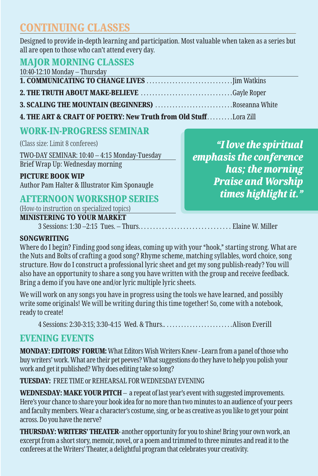# CONTINUING CLASSES

Designed to provide in-depth learning and participation. Most valuable when taken as a series but all are open to those who can't attend every day.

#### MAJOR MORNING CLASSES

| 10:40-12:10 Monday - Thursday               |                 |
|---------------------------------------------|-----------------|
|                                             |                 |
|                                             |                 |
| <b>0. COAT THO THE MOTHER IN (DEOIBERO)</b> | $T_{1}$ $T_{1}$ |

3. SCALING THE MOUNTAIN (BEGINNERS) . . . . . . . . . . . . . . . . . . . . . . . . . . Roseanna White 4. THE ART & CRAFT OF POETRY: New Truth from Old Stuff.........Lora Zill

# WORK-IN-PROGRESS SEMINAR

(Class size: Limit 8 conferees)

TWO-DAY SEMINAR: 10:40 – 4:15 Monday-Tuesday Brief Wrap Up: Wednesday morning

#### PICTURE BOOK WIP

Author Pam Halter & Illustrator Kim Sponaugle

#### AFTERNOON WORKSHOP SERIES

(How-to instruction on specialized topics)

#### MINISTERING TO YOUR MARKET

3 Sessions: 1:30 –2:15 Tues. – Thurs. . . . . . . . . . . . . . . . . . . . . . . . . . . . . . . Elaine W. Miller

#### **SONGWRITING**

Where do I begin? Finding good song ideas, coming up with your "hook," starting strong. What are the Nuts and Bolts of crafting a good song? Rhyme scheme, matching syllables, word choice, song structure. How do I construct a professional lyric sheet and get my song publish-ready? You will also have an opportunity to share a song you have written with the group and receive feedback. Bring a demo if you have one and/or lyric multiple lyric sheets.

We will work on any songs you have in progress using the tools we have learned, and possibly write some originals! We will be writing during this time together! So, come with a notebook, ready to create!

4 Sessions: 2:30-3:15; 3:30-4:15 Wed. & Thurs.. . . . . . . . . . . . . . . . . . . . . . . Alison Everill

#### EVENING EVENTS

MONDAY: EDITORS' FORUM: What Editors Wish Writers Knew - Learn from a panel of those who buy writers' work. What are their pet peeves? What suggestions do they have to help you polish your work and get it published? Why does editing take so long?

TUESDAY: FREE TIME or REHEARSAL FOR WEDNESDAY EVENING

WEDNESDAY: MAKE YOUR PITCH – a repeat of last year's event with suggested improvements. Here's your chance to share your book idea for no more than two minutes to an audience of your peers and faculty members. Wear a character's costume, sing, or be as creative as you like to get your point across. Do you have the nerve?

**THURSDAY: WRITERS' THEATER**- another opportunity for you to shine! Bring your own work, an excerpt from a short story, memoir, novel, or a poem and trimmed to three minutes and read it to the conferees at the Writers' Theater, a delightful program that celebrates your creativity.

*"I love the spiritual emphasis the conference has; the morning Praise and Worship times highlight it."*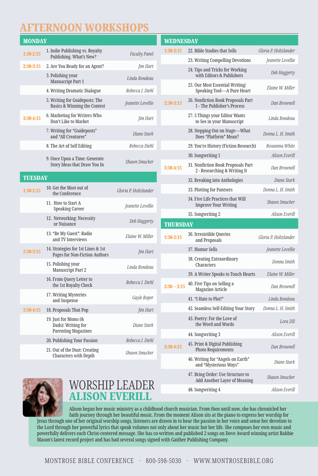# AFTERNOON WORKSHOPS

| <b>MONDAY</b>  |                                                                          |                       | WED        |
|----------------|--------------------------------------------------------------------------|-----------------------|------------|
| $1:30-2:15$    | 1. Indie Publishing vs. Royalty<br>Publishing. What's New?               | <b>Faculty Panel</b>  | $1:30-2:$  |
| 2:30-3:15      | 2. Are You Ready for an Agent?<br>Jim Hart                               |                       |            |
|                | 3. Polishing your<br>Manuscript Part 1                                   | Linda Rondeau         |            |
|                | 4. Writing Dramatic Dialogue                                             | Rebecca I. Diehl      |            |
|                | 5. Writing for Guideposts: The<br>Basics & Winning the Contest           | Jeanette Levellie     | $2:30-3:$  |
| $3:30-4:15$    | 6. Marketing for Writers Who<br>Don't Like to Market                     | Jim Hart              |            |
|                | 7. Writing for "Guideposts"<br>and "All Creatures"                       | Diane Stark           |            |
|                | 8. The Art of Self Editing                                               | Rebecca Diehl         |            |
|                | 9. Once Upon a Time: Generate<br>Story Ideas that Draw You In            | Shawn Smucker         | $3:30-4:$  |
| <b>TUESDAY</b> |                                                                          |                       |            |
| $1:30-2:15$    | 10. Get the Most out of<br>the Conference                                | Gloria P. Holtzlander |            |
|                | 11. How to Start A<br><b>Speaking Career</b>                             | Jeanette Levellie     |            |
|                | 12. Networking: Necessity<br>or Nuisance                                 | Deb Haggerty          | THU        |
|                | 13. "Be My Guest": Radio<br>and TV Interviews                            | Elaine W. Miller      | $1:30-2:$  |
| 2:30-3:15      | 14. Strategies for 1st Lines & 1st<br>Pages for Non-Fiction Authors      | Jim Hart              |            |
|                | 15. Polishing your<br>Manuscript Part 2                                  | Linda Rondeau         |            |
|                | 16. From Query Letter to<br>the 1st Royalty Check                        | Rebecca I. Diehl      | $2:30 - 1$ |
|                | 17. Writing Mysteries<br>and Suspense                                    | Gayle Roper           |            |
| 3:30-4:15      | 18. Proposals That Pop                                                   | Jim Hart              |            |
|                | 19. Just for Moms (&<br>Dads): Writing for<br><b>Parenting Magazines</b> | Diane Stark           |            |
|                | 20. Publishing Your Passion                                              | Rebecca I. Diehl      |            |
|                | 21. Out of the Dust: Creating<br><b>Characters with Depth</b>            | Shawn Smucker         | $3:30-4$   |
|                |                                                                          |                       |            |

| WEDNESDAY     |                                                                    |                       |  |
|---------------|--------------------------------------------------------------------|-----------------------|--|
| 1:30-2:15     | 22. Bible Studies that Sells                                       | Gloria P. Holtzlander |  |
|               | 23. Writing Compelling Devotions                                   | Jeanette Levellie     |  |
|               | 24. Tips and Tricks for Working<br>with Editors & Publishers       | Deb Haggerty          |  |
|               | 25. Our Most Essential Writing/<br>Speaking Tool-A Pure Heart      | Elaine W. Miller      |  |
| 2:30-3:15     | 26. Nonfiction Book Proposals Part<br>1 - The Publisher's Process  | Dan Brownell          |  |
|               | 27.5 Things your Editor Wants<br>to See in your Manuscript         | Linda Rondeau         |  |
|               | 28. Stepping Out on Stage-What<br>Does "Platform" Mean?            | Donna L. H. Smith     |  |
|               | 29. You're History (Fiction Research)                              | Roseanna White        |  |
|               | 30. Songwriting 1                                                  | <b>Alison Everill</b> |  |
| 3:30-4:15     | 31. Nonfiction Book Proposals Part<br>2 - Researching & Writing It | Dan Brownell          |  |
|               | 32. Breaking into Anthologies                                      | Diane Stark           |  |
|               | 33. Plotting for Pantsers                                          | Donna L. H. Smith     |  |
|               | 34. Five Life Practices that Will<br><b>Improve Your Writing</b>   | Shawn Smucker         |  |
|               | 35. Songwriting 2                                                  | Alison Everill        |  |
|               |                                                                    |                       |  |
| THURSDAY      |                                                                    |                       |  |
| 1:30-2:15     | 36. Irresistible Queries<br>and Proposals                          | Gloria P. Holtzlander |  |
|               | 37. Humor Sells                                                    | Jeanette Levellie     |  |
|               | 38. Creating Extraordinary<br>Characters                           | Donna Smith           |  |
|               | 39. A Writer Speaks to Touch Hearts                                | Elaine W. Miller      |  |
| $2:30 - 3:15$ | 40. Five Tips on Selling a<br>Magazine Article                     | Dan Brownell          |  |
|               | 41. "I Hate to Plot!"                                              | Linda Rondeau         |  |
|               | 42. Seamless Self-Editing Your Story                               | Donna L. H. Smith     |  |
|               | 43. Poetry: For the Love of<br>the Word and Words                  | Lora Zill             |  |
|               | 44. Songwriting 3                                                  | Alison Everill        |  |
| 3:30-4:15     | 45. Print & Digital Publishing<br>Photo Requirements               | Dan Brownell          |  |
|               | 46. Writing for "Angels on Earth"<br>and "Mysterious Ways"         | Diane Stark           |  |
|               | 47. Bring Order: Use Structure to<br>Add Another Layer of Meaning  | Shawn Smucker         |  |



#### WORSHIP LEADER ALISON EVERILL

Alison began her music ministry as a childhood church musician. From then until now, she has chronicled her faith journey through her beautiful music. From the moment Alison sits at the piano to express her worship for Jesus through one of her original worship songs, listeners are drawn in to hear the passion in her voice and sense her devotion to the Lord through her powerful lyrics that speak volumes not only about her music but her life. She composes her own music and powerfully delivers each Christ-centered message. She has co-written and published 2 songs on Dove Award winning artist Babbie Mason's latest record project and has had several songs signed with Gaither Publishing Company.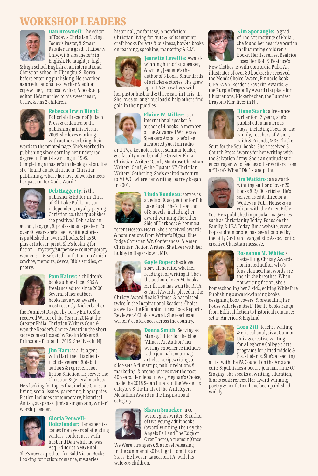#### RKSHOP LEADERS



Dan Brownell: The editor of Today's Christian Living, Today's Pastor, & Smart Retailer, is a grad. of Liberty Univ. with a bachelor's in English. He taught jr. high

& high school English at an international Christian school in Uijongbu, S. Korea, before entering publishing. He's worked as an educational test writer & editor, copywriter, proposal writer, & book acq. editor. He's married to his sweetheart, Cathy, & has 2 children.

#### Rebecca Irwin Diehl:



Editorial director of Judson Press & ordained to the publishing ministries in 2009, she loves working with authors to bring their

words to the printed page. She's worked in publishing since earning her undergrad. degree in English-writing in 1995. Completing a master's in theological studies, she "found an ideal niche in Christian publishing, where her love of words meets her passion for God's Word."



Deb Haggerty: is the publisher & Editor-in-Chief of Elk Lake Publ., Inc., an independent, royalty-paying Christian co. that "publishes the positive." Deb's also an

author, blogger, & professional speaker. For over 40 years she's been writing stories, is published in over 20 books, & has 50 plus articles in print. She's looking for fiction—mystery/suspense & contemporary women's—& selected nonfiction: no Amish, cowboy, memoirs, devos, Bible studies, or poetry.



Pam Halter: a children's book author since 1995 & freelance editor since 2006. Several of her authors' books have won awards, most recently, Nickerbacher

the Funniest Dragon by Terry Barto. She received Writer of the Year in 2014 at the Greater Phila. Christian Writers Conf. & won the Reader's Choice Award in the short story contest hosted by Realm Makers & Brimstone Fiction in 2015. She lives in NJ.



**Jim Hart:** is a lit. agent with Hartline. His clients include veteran & debut authors & represent nonfiction & fiction. He serves the Christian & general markets.

He's looking for topics that include Christian living, social issues, parenting, biographies. Fiction includes contemporary, historical, Amish, suspense. Jim's a singer/ songwriter/ worship leader.

# Gloria Penwell-

Holtzlander: Her expertise comes from years of attending writers' conferences with husband Dan while he was Acq. Editor at AMG Publ.

She's now acq. editor for Bold Vision Books. Looking for fiction: romance, mysteries,

historical, (no fantasy) & nonfiction: Christian living for Nuts & Bolts imprint: craft books for arts & business, how-to books on teaching, speaking, marketing & S.M.



**Jeanette Levellie: Award**winning humorist, speaker, & writer, Jeanette's the author of 5 books & hundreds of articles & stories. She grew up in LA & now lives with

her pastor husband & three cats in Paris, IL. She loves to laugh out loud & help others find gold in their puddles.



Elaine W. Miller: is an international speaker & author of 4 books. A member of the Advanced Writers & Speakers Assoc., she's been a featured guest on radio

and TV, a keynote retreat seminar leader, & a faculty member of the Greater Phila. Christian Writers' Conf., Montrose Christian Writers' Conf., & the Upstate NY Christian Writers' Gathering. She's excited to return to MCWC, where her writing journey began in 2001.



Linda Rondeau: serves as sr. editor & acq. editor for Elk Lake Publ. She's the author of 8 novels, including her award-winning The Other Side of Darkness & her most

recent Hosea's Heart. She's received awards & nominations from Writer's Digest, Blue Ridge Christian Wr. Conferences, & Amer. Christian Fiction Writers. She lives with her hubby in Hagerstown, MD.



Gayle Roper: has loved story all her life, whether reading it or writing it. She's the author of over 50 books. Her fiction has won the RITA & Carol Awards, placed in the

Christy Award finals 3 times, & has placed twice in the Inspirational Readers' Choice as well as the Romantic Times Book Report's Reviewers' Choice Award. She teaches at writers' conferences across the country.



Donna Smith: Serving as Manag. Editor for the blog "Almost An Author," her writing experience includes radio journalism to mag. articles, scriptwriting, to

slide sets & filmstrips, public relations & marketing, & promo. pieces over the past 40 years. Her debut novel, Meghan's Choice, made the 2018 Selah Finals in the Westerns category & the finals of the Will Rogers Medallion Award in the Inspirational category.



Shawn Smucker: a cowriter, ghostwriter, & author of two young adult books (award-winning The Day the Angels Fell and The Edge of Over There), a memoir (Once

We Were Strangers), & a novel releasing in the summer of 2019, Light from Distant Stars. He lives in Lancaster, PA, with his wife & 6 children.



Kim Sponaugle: a grad. of The Art Institute of Phila., she found her heart's vocation in illustrating children's books. Her 1st series, Beatrice Loses Her Doll & Beatrice's

New Clothes, is with Concordia Publ. An illustrator of over 80 books, she received the Mom's Choice Award, Pinnacle Book, CIPA EVVY, Reader's Favorite Awards, & the Purple Dragonfly Award (1st place for illustrations, Nickerbacher, the Funniest Dragon.) Kim lives in NJ.



Diane Stark: a freelance writer for 12 years, she's published in numerous mags. including Focus on the Family, Teachers of Vision, Faith & Friends, & 35 Chicken

Soup for the Soul books. She's received 3 Church Press Awards for her writing with the Salvation Army. She's an enthusiastic encourager, who teaches other writers from a "Here's What I Did" standpoint.



**Jim Watkins: an award**winning author of over 20 books & 2,000 articles. He's served as edit. director at Wesleyan Publ. House & an editor with the Amer. Bible

Soc. He's published in popular magazines such as Christianity Today, Focus on the Family, & USA Today. Jim's website, www. hopeandhumor.org, has been honored by the Billy Graham Evangelistic Assoc. for its creative Christian message.



Roseanna M. White: a bestselling, Christy Awardnominated author who's long claimed that words are the air she breathes. When not writing fiction, she's

homeschooling her 2 kids, editing WhiteFire Publishing's award-winning books, designing book covers, & pretending her house will clean itself. Her 13 books range from Biblical fiction to historical romances set in America & England.



Lora Zill: teaches writing & critical analysis at Gannon Univ. & creative writing for Allegheny College's arts programs for gifted middle & h.s. students. She's a teaching

artist with the PA Council on the Arts and edits & publishes a poetry journal, Time Of Singing. She speaks at writing, education, & arts conferences. Her award-winning poetry & nonfiction have been published widely.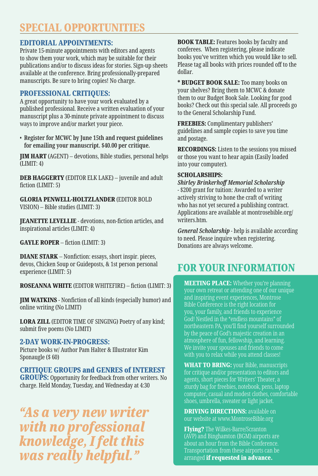### SPECIAL OPPORTUNITIES

#### EDITORIAL APPOINTMENTS:

Private 15-minute appointments with editors and agents to show them your work, which may be suitable for their publications and/or to discuss ideas for stories. Sign-up sheets available at the conference. Bring professionally-prepared manuscripts. Be sure to bring copies! No charge.

#### PROFESSIONAL CRITIQUES:

A great opportunity to have your work evaluated by a published professional. Receive a written evaluation of your manuscript plus a 30-minute private appointment to discuss ways to improve and/or market your piece.

• **Register for MCWC by June 15th and request guidelines for emailing your manuscript. \$40.00 per critique.**

JIM HART (AGENT) – devotions, Bible studies, personal helps (LIMIT: 4)

DEB HAGGERTY (EDITOR ELK LAKE) – juvenile and adult fiction (LIMIT: 5)

GLORIA PENWELL-HOLTZLANDER (EDITOR BOLD VISION) – Bible studies (LIMIT: 3)

JEANETTE LEVELLIE - devotions, non-fiction articles, and inspirational articles (LIMIT: 4)

GAYLE ROPER – fiction (LIMIT: 3)

DIANE STARK – Nonfiction: essays, short inspir. pieces, devos, Chicken Soup or Guideposts, & 1st person personal experience (LIMIT: 5)

ROSEANNA WHITE (EDITOR WHITEFIRE) – fiction (LIMIT: 3)

JIM WATKINS - Nonfiction of all kinds (especially humor) and online writing (No LIMIT)

LORA ZILL (EDITOR TIME OF SINGING) Poetry of any kind; submit five poems (No LIMIT)

#### 2-DAY WORK-IN-PROGRESS:

Picture books w/ Author Pam Halter & Illustrator Kim Sponaugle (\$ 60)

CRITIQUE GROUPS and GENRES of INTEREST **GROUPS:** Opportunity for feedback from other writers. No charge. Held Monday, Tuesday, and Wednesday at 4:30

*"As a very new writer with no professional knowledge, I felt this was really helpful."*

BOOK TABLE: Features books by faculty and conferees. When registering, please indicate books you've written which you would like to sell. Please tag all books with prices rounded off to the dollar.

\* BUDGET BOOK SALE: Too many books on your shelves? Bring them to MCWC & donate them to our Budget Book Sale. Looking for good books? Check out this special sale. All proceeds go to the General Scholarship Fund.

FREEBIES: Complimentary publishers' guidelines and sample copies to save you time and postage.

RECORDINGS: Listen to the sessions you missed or those you want to hear again (Easily loaded into your computer).

#### SCHOLARSHIPS:

*Shirley Brinkerhoff Memorial Scholarship* - \$200 grant for tuition: Awarded to a writer actively striving to hone the craft of writing who has not yet secured a publishing contract. Applications are available at montrosebible.org/ writers.htm.

*General Scholarship* - help is available according to need. Please inquire when registering. Donations are always welcome.

## FOR YOUR INFORMATION

**MEETING PLACE:** Whether you're planning your own retreat or attending one of our unique and inspiring event experiences, Montrose Bible Conference is the right location for you, your family, and friends to experience God! Nestled in the "endless mountains" of northeastern PA, you'll find yourself surrounded by the peace of God's majestic creation in an atmosphere of fun, fellowship, and learning. We invite your spouses and friends to come

**WHAT TO BRING:** your Bible, manuscripts for critique and/or presentation to editors and agents, short pieces for Writers' Theater, a sturdy bag for freebies, notebook, pens, laptop computer, casual and modest clothes, comfortable shoes, umbrella, sweater or light jacket.

**DRIVING DIRECTIONS:** available on our website at www.MontroseBible.org

Flying? The Wilkes-Barre/Scranton (AVP) and Binghamton (BGM) airports are about an hour from the Bible Conference. Transportation from these airports can be arranged if requested in advance.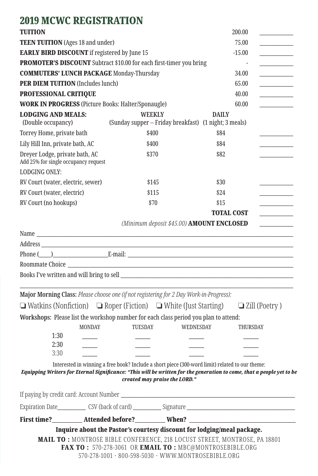## 2019 MCWC REGISTRATION

| <b>TUITION</b>                                                         |               |                                                                                                                                                                                                                                                                       |                   | 200.00          |                      |  |
|------------------------------------------------------------------------|---------------|-----------------------------------------------------------------------------------------------------------------------------------------------------------------------------------------------------------------------------------------------------------------------|-------------------|-----------------|----------------------|--|
| <b>TEEN TUITION</b> (Ages 18 and under)                                |               |                                                                                                                                                                                                                                                                       |                   | 75.00           |                      |  |
| <b>EARLY BIRD DISCOUNT</b> if registered by June 15                    |               |                                                                                                                                                                                                                                                                       |                   | $-15.00$        |                      |  |
|                                                                        |               | PROMOTER'S DISCOUNT Subtract \$10.00 for each first-timer you bring                                                                                                                                                                                                   |                   |                 |                      |  |
| <b>COMMUTERS' LUNCH PACKAGE Monday-Thursday</b>                        |               |                                                                                                                                                                                                                                                                       |                   | 34.00           |                      |  |
| <b>PER DIEM TUITION</b> (Includes lunch)                               |               |                                                                                                                                                                                                                                                                       |                   | 65.00           |                      |  |
| PROFESSIONAL CRITIQUE                                                  |               |                                                                                                                                                                                                                                                                       |                   | 40.00           |                      |  |
|                                                                        |               | <b>WORK IN PROGRESS</b> (Picture Books: Halter/Sponaugle)                                                                                                                                                                                                             |                   | 60.00           |                      |  |
| <b>LODGING AND MEALS:</b><br>(Double occupancy)                        |               | <b>WEEKLY</b><br>(Sunday supper - Friday breakfast) (1 night; 3 meals)                                                                                                                                                                                                | <b>DAILY</b>      |                 |                      |  |
| Torrey Home, private bath                                              |               | \$400                                                                                                                                                                                                                                                                 | \$84              |                 |                      |  |
| Lily Hill Inn, private bath, AC                                        |               | \$400                                                                                                                                                                                                                                                                 | \$84              |                 |                      |  |
| Dreyer Lodge, private bath, AC<br>Add 25% for single occupancy request |               | \$370                                                                                                                                                                                                                                                                 | \$82              |                 |                      |  |
| <b>LODGING ONLY:</b>                                                   |               |                                                                                                                                                                                                                                                                       |                   |                 |                      |  |
| RV Court (water, electric, sewer)                                      |               | \$145                                                                                                                                                                                                                                                                 | \$30              |                 |                      |  |
| RV Court (water, electric)                                             |               | \$115                                                                                                                                                                                                                                                                 | \$24              |                 |                      |  |
| RV Court (no hookups)                                                  |               | \$70                                                                                                                                                                                                                                                                  | \$15              |                 |                      |  |
|                                                                        |               |                                                                                                                                                                                                                                                                       | <b>TOTAL COST</b> |                 |                      |  |
|                                                                        |               | (Minimum deposit \$45.00) AMOUNT ENCLOSED                                                                                                                                                                                                                             |                   |                 |                      |  |
|                                                                        |               |                                                                                                                                                                                                                                                                       |                   |                 |                      |  |
|                                                                        |               |                                                                                                                                                                                                                                                                       |                   |                 |                      |  |
|                                                                        |               |                                                                                                                                                                                                                                                                       |                   |                 |                      |  |
|                                                                        |               |                                                                                                                                                                                                                                                                       |                   |                 |                      |  |
|                                                                        |               |                                                                                                                                                                                                                                                                       |                   |                 |                      |  |
|                                                                        |               | Major Morning Class: Please choose one (if not registering for 2 Day Work-in-Progress):                                                                                                                                                                               |                   |                 |                      |  |
|                                                                        |               | $\Box$ Watkins (Nonfiction) $\Box$ Roper (Fiction) $\Box$ White (Just Starting)                                                                                                                                                                                       |                   |                 | $\Box$ Zill (Poetry) |  |
|                                                                        |               | Workshops: Please list the workshop number for each class period you plan to attend:                                                                                                                                                                                  |                   |                 |                      |  |
|                                                                        | <b>MONDAY</b> | <b>TUESDAY</b><br><b>WEDNESDAY</b>                                                                                                                                                                                                                                    |                   | <b>THURSDAY</b> |                      |  |
| 1:30                                                                   |               |                                                                                                                                                                                                                                                                       |                   |                 |                      |  |
| 2:30<br>3:30                                                           |               |                                                                                                                                                                                                                                                                       |                   |                 |                      |  |
|                                                                        |               |                                                                                                                                                                                                                                                                       |                   |                 |                      |  |
|                                                                        |               | Interested in winning a free book? Include a short piece (300-word limit) related to our theme:<br>Equipping Writers for Eternal Significance: "This will be written for the generation to come, that a people yet to be<br>created may praise the LORD."             |                   |                 |                      |  |
|                                                                        |               |                                                                                                                                                                                                                                                                       |                   |                 |                      |  |
|                                                                        |               |                                                                                                                                                                                                                                                                       |                   |                 |                      |  |
|                                                                        |               |                                                                                                                                                                                                                                                                       |                   |                 |                      |  |
|                                                                        |               | First time?__________Attended before?__________When? ____________________________                                                                                                                                                                                     |                   |                 |                      |  |
|                                                                        |               | Inquire about the Pastor's courtesy discount for lodging/meal package.<br>MAIL TO: MONTROSE BIBLE CONFERENCE, 218 LOCUST STREET, MONTROSE, PA 18801<br>FAX TO: 570-278-3061 OR EMAIL TO: MBC@MONTROSEBIBLE.ORG<br>570-278-1001 · 800-598-5030 · WWW.MONTROSEBIBLE.ORG |                   |                 |                      |  |